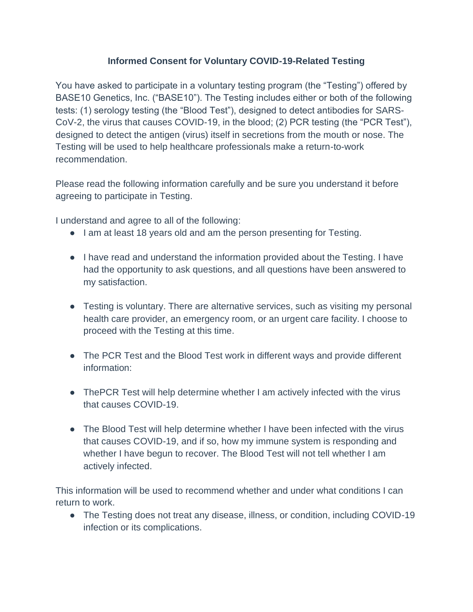## **Informed Consent for Voluntary COVID-19-Related Testing**

You have asked to participate in a voluntary testing program (the "Testing") offered by BASE10 Genetics, Inc. ("BASE10"). The Testing includes either or both of the following tests: (1) serology testing (the "Blood Test"), designed to detect antibodies for SARS-CoV-2, the virus that causes COVID-19, in the blood; (2) PCR testing (the "PCR Test"), designed to detect the antigen (virus) itself in secretions from the mouth or nose. The Testing will be used to help healthcare professionals make a return-to-work recommendation.

Please read the following information carefully and be sure you understand it before agreeing to participate in Testing.

I understand and agree to all of the following:

- I am at least 18 years old and am the person presenting for Testing.
- I have read and understand the information provided about the Testing. I have had the opportunity to ask questions, and all questions have been answered to my satisfaction.
- Testing is voluntary. There are alternative services, such as visiting my personal health care provider, an emergency room, or an urgent care facility. I choose to proceed with the Testing at this time.
- The PCR Test and the Blood Test work in different ways and provide different information:
- ThePCR Test will help determine whether I am actively infected with the virus that causes COVID-19.
- The Blood Test will help determine whether I have been infected with the virus that causes COVID-19, and if so, how my immune system is responding and whether I have begun to recover. The Blood Test will not tell whether I am actively infected.

This information will be used to recommend whether and under what conditions I can return to work.

● The Testing does not treat any disease, illness, or condition, including COVID-19 infection or its complications.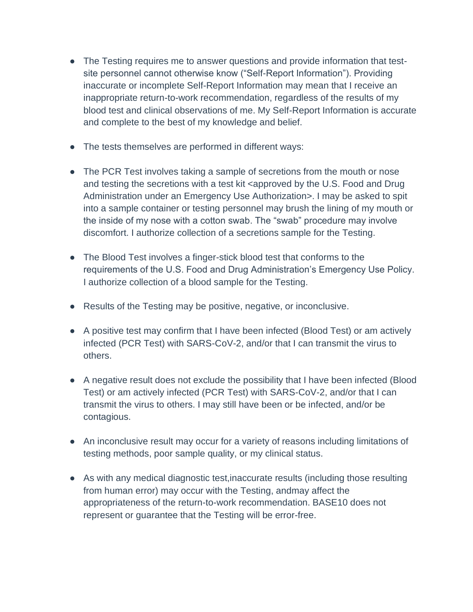- The Testing requires me to answer questions and provide information that testsite personnel cannot otherwise know ("Self-Report Information"). Providing inaccurate or incomplete Self-Report Information may mean that I receive an inappropriate return-to-work recommendation, regardless of the results of my blood test and clinical observations of me. My Self-Report Information is accurate and complete to the best of my knowledge and belief.
- The tests themselves are performed in different ways:
- The PCR Test involves taking a sample of secretions from the mouth or nose and testing the secretions with a test kit <approved by the U.S. Food and Drug Administration under an Emergency Use Authorization>. I may be asked to spit into a sample container or testing personnel may brush the lining of my mouth or the inside of my nose with a cotton swab. The "swab" procedure may involve discomfort. I authorize collection of a secretions sample for the Testing.
- The Blood Test involves a finger-stick blood test that conforms to the requirements of the U.S. Food and Drug Administration's Emergency Use Policy. I authorize collection of a blood sample for the Testing.
- Results of the Testing may be positive, negative, or inconclusive.
- A positive test may confirm that I have been infected (Blood Test) or am actively infected (PCR Test) with SARS-CoV-2, and/or that I can transmit the virus to others.
- A negative result does not exclude the possibility that I have been infected (Blood Test) or am actively infected (PCR Test) with SARS-CoV-2, and/or that I can transmit the virus to others. I may still have been or be infected, and/or be contagious.
- An inconclusive result may occur for a variety of reasons including limitations of testing methods, poor sample quality, or my clinical status.
- As with any medical diagnostic test,inaccurate results (including those resulting from human error) may occur with the Testing, andmay affect the appropriateness of the return-to-work recommendation. BASE10 does not represent or guarantee that the Testing will be error-free.